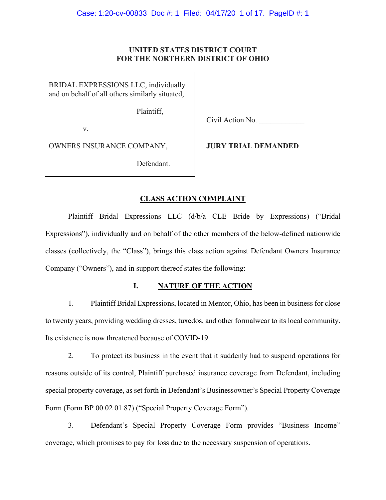## **UNITED STATES DISTRICT COURT FOR THE NORTHERN DISTRICT OF OHIO**

BRIDAL EXPRESSIONS LLC, individually and on behalf of all others similarly situated,

Plaintiff,

v.

Civil Action No.

OWNERS INSURANCE COMPANY,

**JURY TRIAL DEMANDED**

Defendant.

# **CLASS ACTION COMPLAINT**

Plaintiff Bridal Expressions LLC (d/b/a CLE Bride by Expressions) ("Bridal Expressions"), individually and on behalf of the other members of the below-defined nationwide classes (collectively, the "Class"), brings this class action against Defendant Owners Insurance Company ("Owners"), and in support thereof states the following:

# **I. NATURE OF THE ACTION**

1. Plaintiff Bridal Expressions, located in Mentor, Ohio, has been in business for close to twenty years, providing wedding dresses, tuxedos, and other formalwear to its local community. Its existence is now threatened because of COVID-19.

2. To protect its business in the event that it suddenly had to suspend operations for reasons outside of its control, Plaintiff purchased insurance coverage from Defendant, including special property coverage, as set forth in Defendant's Businessowner's Special Property Coverage Form (Form BP 00 02 01 87) ("Special Property Coverage Form").

3. Defendant's Special Property Coverage Form provides "Business Income" coverage, which promises to pay for loss due to the necessary suspension of operations.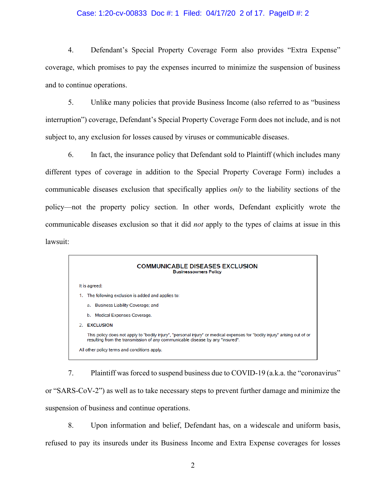#### Case: 1:20-cv-00833 Doc #: 1 Filed: 04/17/20 2 of 17. PageID #: 2

4. Defendant's Special Property Coverage Form also provides "Extra Expense" coverage, which promises to pay the expenses incurred to minimize the suspension of business and to continue operations.

5. Unlike many policies that provide Business Income (also referred to as "business interruption") coverage, Defendant's Special Property Coverage Form does not include, and is not subject to, any exclusion for losses caused by viruses or communicable diseases.

6. In fact, the insurance policy that Defendant sold to Plaintiff (which includes many different types of coverage in addition to the Special Property Coverage Form) includes a communicable diseases exclusion that specifically applies *only* to the liability sections of the policy—not the property policy section. In other words, Defendant explicitly wrote the communicable diseases exclusion so that it did *not* apply to the types of claims at issue in this lawsuit:



7. Plaintiff was forced to suspend business due to COVID-19 (a.k.a. the "coronavirus" or "SARS-CoV-2") as well as to take necessary steps to prevent further damage and minimize the suspension of business and continue operations.

8. Upon information and belief, Defendant has, on a widescale and uniform basis, refused to pay its insureds under its Business Income and Extra Expense coverages for losses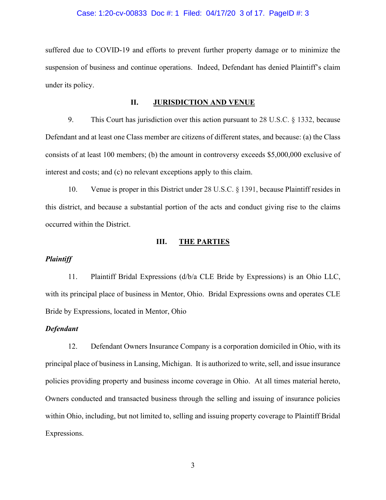#### Case: 1:20-cv-00833 Doc #: 1 Filed: 04/17/20 3 of 17. PageID #: 3

suffered due to COVID-19 and efforts to prevent further property damage or to minimize the suspension of business and continue operations. Indeed, Defendant has denied Plaintiff's claim under its policy.

#### **II. JURISDICTION AND VENUE**

9. This Court has jurisdiction over this action pursuant to 28 U.S.C. § 1332, because Defendant and at least one Class member are citizens of different states, and because: (a) the Class consists of at least 100 members; (b) the amount in controversy exceeds \$5,000,000 exclusive of interest and costs; and (c) no relevant exceptions apply to this claim.

10. Venue is proper in this District under 28 U.S.C. § 1391, because Plaintiff resides in this district, and because a substantial portion of the acts and conduct giving rise to the claims occurred within the District.

## **III. THE PARTIES**

## *Plaintiff*

11. Plaintiff Bridal Expressions (d/b/a CLE Bride by Expressions) is an Ohio LLC, with its principal place of business in Mentor, Ohio. Bridal Expressions owns and operates CLE Bride by Expressions, located in Mentor, Ohio

#### *Defendant*

12. Defendant Owners Insurance Company is a corporation domiciled in Ohio, with its principal place of business in Lansing, Michigan. It is authorized to write, sell, and issue insurance policies providing property and business income coverage in Ohio. At all times material hereto, Owners conducted and transacted business through the selling and issuing of insurance policies within Ohio, including, but not limited to, selling and issuing property coverage to Plaintiff Bridal Expressions.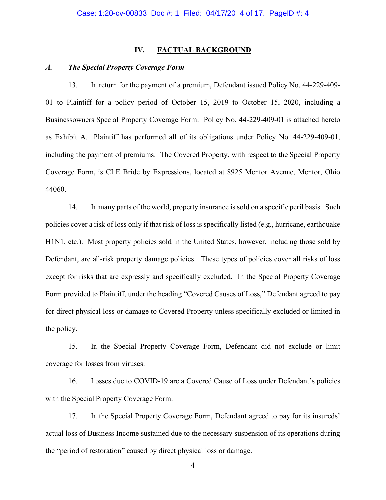## **IV. FACTUAL BACKGROUND**

#### *A. The Special Property Coverage Form*

13. In return for the payment of a premium, Defendant issued Policy No. 44-229-409- 01 to Plaintiff for a policy period of October 15, 2019 to October 15, 2020, including a Businessowners Special Property Coverage Form. Policy No. 44-229-409-01 is attached hereto as Exhibit A. Plaintiff has performed all of its obligations under Policy No. 44-229-409-01, including the payment of premiums. The Covered Property, with respect to the Special Property Coverage Form, is CLE Bride by Expressions, located at 8925 Mentor Avenue, Mentor, Ohio 44060.

14. In many parts of the world, property insurance is sold on a specific peril basis. Such policies cover a risk of loss only if that risk of loss is specifically listed (e.g., hurricane, earthquake H1N1, etc.). Most property policies sold in the United States, however, including those sold by Defendant, are all-risk property damage policies. These types of policies cover all risks of loss except for risks that are expressly and specifically excluded. In the Special Property Coverage Form provided to Plaintiff, under the heading "Covered Causes of Loss," Defendant agreed to pay for direct physical loss or damage to Covered Property unless specifically excluded or limited in the policy.

15. In the Special Property Coverage Form, Defendant did not exclude or limit coverage for losses from viruses.

16. Losses due to COVID-19 are a Covered Cause of Loss under Defendant's policies with the Special Property Coverage Form.

17. In the Special Property Coverage Form, Defendant agreed to pay for its insureds' actual loss of Business Income sustained due to the necessary suspension of its operations during the "period of restoration" caused by direct physical loss or damage.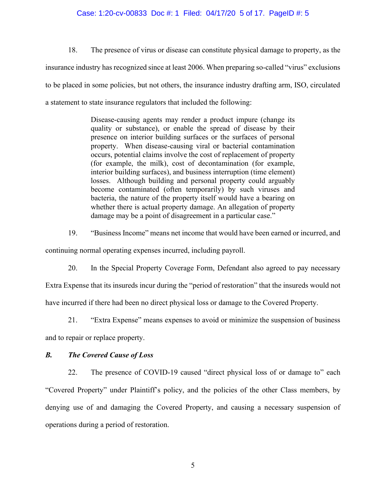### Case: 1:20-cv-00833 Doc #: 1 Filed: 04/17/20 5 of 17. PageID #: 5

18. The presence of virus or disease can constitute physical damage to property, as the insurance industry has recognized since at least 2006. When preparing so-called "virus" exclusions to be placed in some policies, but not others, the insurance industry drafting arm, ISO, circulated a statement to state insurance regulators that included the following:

> Disease-causing agents may render a product impure (change its quality or substance), or enable the spread of disease by their presence on interior building surfaces or the surfaces of personal property. When disease-causing viral or bacterial contamination occurs, potential claims involve the cost of replacement of property (for example, the milk), cost of decontamination (for example, interior building surfaces), and business interruption (time element) losses. Although building and personal property could arguably become contaminated (often temporarily) by such viruses and bacteria, the nature of the property itself would have a bearing on whether there is actual property damage. An allegation of property damage may be a point of disagreement in a particular case."

19. "Business Income" means net income that would have been earned or incurred, and

continuing normal operating expenses incurred, including payroll.

20. In the Special Property Coverage Form, Defendant also agreed to pay necessary

Extra Expense that its insureds incur during the "period of restoration" that the insureds would not

have incurred if there had been no direct physical loss or damage to the Covered Property.

21. "Extra Expense" means expenses to avoid or minimize the suspension of business

and to repair or replace property.

## *B. The Covered Cause of Loss*

22. The presence of COVID-19 caused "direct physical loss of or damage to" each "Covered Property" under Plaintiff's policy, and the policies of the other Class members, by denying use of and damaging the Covered Property, and causing a necessary suspension of operations during a period of restoration.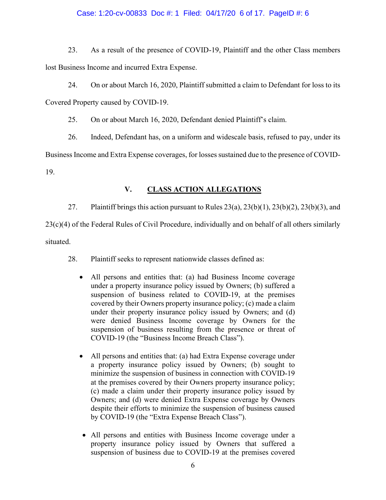# Case: 1:20-cv-00833 Doc #: 1 Filed: 04/17/20 6 of 17. PageID #: 6

23. As a result of the presence of COVID-19, Plaintiff and the other Class members lost Business Income and incurred Extra Expense.

24. On or about March 16, 2020, Plaintiff submitted a claim to Defendant for loss to its Covered Property caused by COVID-19.

25. On or about March 16, 2020, Defendant denied Plaintiff's claim.

26. Indeed, Defendant has, on a uniform and widescale basis, refused to pay, under its

Business Income and Extra Expense coverages, for losses sustained due to the presence of COVID-

19.

# **V. CLASS ACTION ALLEGATIONS**

27. Plaintiff brings this action pursuant to Rules  $23(a)$ ,  $23(b)(1)$ ,  $23(b)(2)$ ,  $23(b)(3)$ , and

23(c)(4) of the Federal Rules of Civil Procedure, individually and on behalf of all others similarly situated.

- 28. Plaintiff seeks to represent nationwide classes defined as:
	- All persons and entities that: (a) had Business Income coverage under a property insurance policy issued by Owners; (b) suffered a suspension of business related to COVID-19, at the premises covered by their Owners property insurance policy; (c) made a claim under their property insurance policy issued by Owners; and (d) were denied Business Income coverage by Owners for the suspension of business resulting from the presence or threat of COVID-19 (the "Business Income Breach Class").
	- All persons and entities that: (a) had Extra Expense coverage under a property insurance policy issued by Owners; (b) sought to minimize the suspension of business in connection with COVID-19 at the premises covered by their Owners property insurance policy; (c) made a claim under their property insurance policy issued by Owners; and (d) were denied Extra Expense coverage by Owners despite their efforts to minimize the suspension of business caused by COVID-19 (the "Extra Expense Breach Class").
	- All persons and entities with Business Income coverage under a property insurance policy issued by Owners that suffered a suspension of business due to COVID-19 at the premises covered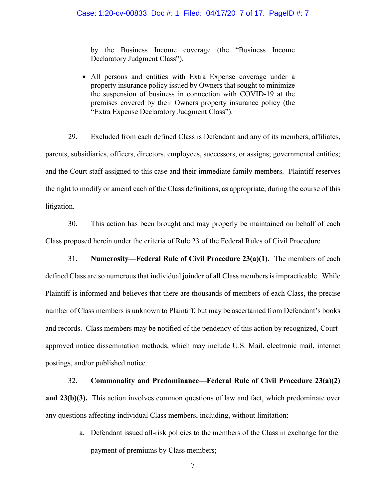by the Business Income coverage (the "Business Income Declaratory Judgment Class").

• All persons and entities with Extra Expense coverage under a property insurance policy issued by Owners that sought to minimize the suspension of business in connection with COVID-19 at the premises covered by their Owners property insurance policy (the "Extra Expense Declaratory Judgment Class").

29. Excluded from each defined Class is Defendant and any of its members, affiliates, parents, subsidiaries, officers, directors, employees, successors, or assigns; governmental entities; and the Court staff assigned to this case and their immediate family members. Plaintiff reserves the right to modify or amend each of the Class definitions, as appropriate, during the course of this litigation.

30. This action has been brought and may properly be maintained on behalf of each Class proposed herein under the criteria of Rule 23 of the Federal Rules of Civil Procedure.

31. **Numerosity—Federal Rule of Civil Procedure 23(a)(1).** The members of each defined Class are so numerous that individual joinder of all Class members is impracticable. While Plaintiff is informed and believes that there are thousands of members of each Class, the precise number of Class members is unknown to Plaintiff, but may be ascertained from Defendant's books and records. Class members may be notified of the pendency of this action by recognized, Courtapproved notice dissemination methods, which may include U.S. Mail, electronic mail, internet postings, and/or published notice.

32. **Commonality and Predominance—Federal Rule of Civil Procedure 23(a)(2) and 23(b)(3).** This action involves common questions of law and fact, which predominate over any questions affecting individual Class members, including, without limitation:

> a. Defendant issued all-risk policies to the members of the Class in exchange for the payment of premiums by Class members;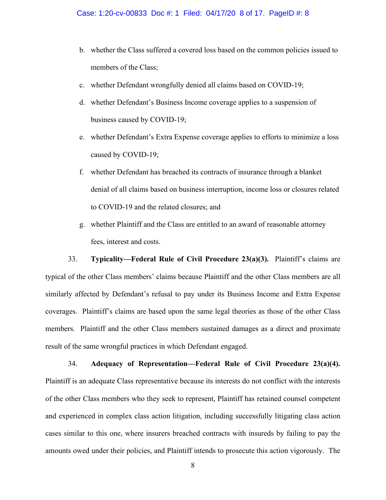- b. whether the Class suffered a covered loss based on the common policies issued to members of the Class;
- c. whether Defendant wrongfully denied all claims based on COVID-19;
- d. whether Defendant's Business Income coverage applies to a suspension of business caused by COVID-19;
- e. whether Defendant's Extra Expense coverage applies to efforts to minimize a loss caused by COVID-19;
- f. whether Defendant has breached its contracts of insurance through a blanket denial of all claims based on business interruption, income loss or closures related to COVID-19 and the related closures; and
- g. whether Plaintiff and the Class are entitled to an award of reasonable attorney fees, interest and costs.

33. **Typicality—Federal Rule of Civil Procedure 23(a)(3).** Plaintiff's claims are typical of the other Class members' claims because Plaintiff and the other Class members are all similarly affected by Defendant's refusal to pay under its Business Income and Extra Expense coverages. Plaintiff's claims are based upon the same legal theories as those of the other Class members. Plaintiff and the other Class members sustained damages as a direct and proximate result of the same wrongful practices in which Defendant engaged.

34. **Adequacy of Representation—Federal Rule of Civil Procedure 23(a)(4).** Plaintiff is an adequate Class representative because its interests do not conflict with the interests of the other Class members who they seek to represent, Plaintiff has retained counsel competent and experienced in complex class action litigation, including successfully litigating class action cases similar to this one, where insurers breached contracts with insureds by failing to pay the amounts owed under their policies, and Plaintiff intends to prosecute this action vigorously. The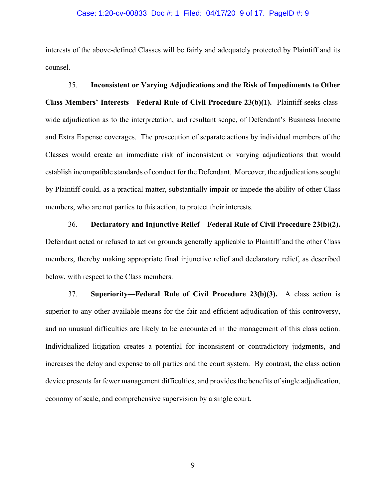#### Case: 1:20-cv-00833 Doc #: 1 Filed: 04/17/20 9 of 17. PageID #: 9

interests of the above-defined Classes will be fairly and adequately protected by Plaintiff and its counsel.

35. **Inconsistent or Varying Adjudications and the Risk of Impediments to Other Class Members' Interests—Federal Rule of Civil Procedure 23(b)(1).** Plaintiff seeks classwide adjudication as to the interpretation, and resultant scope, of Defendant's Business Income and Extra Expense coverages. The prosecution of separate actions by individual members of the Classes would create an immediate risk of inconsistent or varying adjudications that would establish incompatible standards of conduct for the Defendant. Moreover, the adjudications sought by Plaintiff could, as a practical matter, substantially impair or impede the ability of other Class members, who are not parties to this action, to protect their interests.

36. **Declaratory and Injunctive Relief—Federal Rule of Civil Procedure 23(b)(2).** Defendant acted or refused to act on grounds generally applicable to Plaintiff and the other Class members, thereby making appropriate final injunctive relief and declaratory relief, as described below, with respect to the Class members.

37. **Superiority—Federal Rule of Civil Procedure 23(b)(3).** A class action is superior to any other available means for the fair and efficient adjudication of this controversy, and no unusual difficulties are likely to be encountered in the management of this class action. Individualized litigation creates a potential for inconsistent or contradictory judgments, and increases the delay and expense to all parties and the court system. By contrast, the class action device presents far fewer management difficulties, and provides the benefits of single adjudication, economy of scale, and comprehensive supervision by a single court.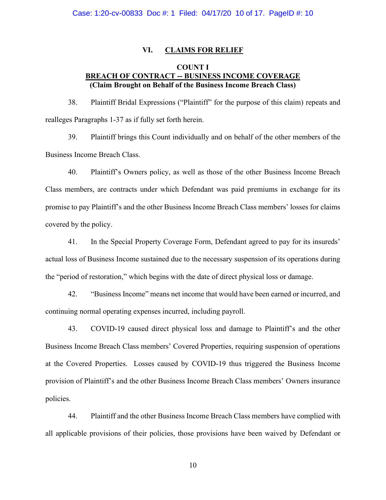## **VI. CLAIMS FOR RELIEF**

# **COUNT I BREACH OF CONTRACT -- BUSINESS INCOME COVERAGE (Claim Brought on Behalf of the Business Income Breach Class)**

38. Plaintiff Bridal Expressions ("Plaintiff" for the purpose of this claim) repeats and realleges Paragraphs 1-37 as if fully set forth herein.

39. Plaintiff brings this Count individually and on behalf of the other members of the Business Income Breach Class.

40. Plaintiff's Owners policy, as well as those of the other Business Income Breach Class members, are contracts under which Defendant was paid premiums in exchange for its promise to pay Plaintiff's and the other Business Income Breach Class members' losses for claims covered by the policy.

41. In the Special Property Coverage Form, Defendant agreed to pay for its insureds' actual loss of Business Income sustained due to the necessary suspension of its operations during the "period of restoration," which begins with the date of direct physical loss or damage.

42. "Business Income" means net income that would have been earned or incurred, and continuing normal operating expenses incurred, including payroll.

43. COVID-19 caused direct physical loss and damage to Plaintiff's and the other Business Income Breach Class members' Covered Properties, requiring suspension of operations at the Covered Properties. Losses caused by COVID-19 thus triggered the Business Income provision of Plaintiff's and the other Business Income Breach Class members' Owners insurance policies.

44. Plaintiff and the other Business Income Breach Class members have complied with all applicable provisions of their policies, those provisions have been waived by Defendant or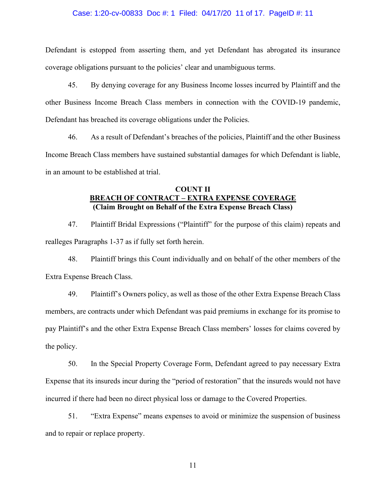#### Case: 1:20-cv-00833 Doc #: 1 Filed: 04/17/20 11 of 17. PageID #: 11

Defendant is estopped from asserting them, and yet Defendant has abrogated its insurance coverage obligations pursuant to the policies' clear and unambiguous terms.

45. By denying coverage for any Business Income losses incurred by Plaintiff and the other Business Income Breach Class members in connection with the COVID-19 pandemic, Defendant has breached its coverage obligations under the Policies.

46. As a result of Defendant's breaches of the policies, Plaintiff and the other Business Income Breach Class members have sustained substantial damages for which Defendant is liable, in an amount to be established at trial.

# **COUNT II BREACH OF CONTRACT – EXTRA EXPENSE COVERAGE (Claim Brought on Behalf of the Extra Expense Breach Class)**

47. Plaintiff Bridal Expressions ("Plaintiff" for the purpose of this claim) repeats and realleges Paragraphs 1-37 as if fully set forth herein.

48. Plaintiff brings this Count individually and on behalf of the other members of the Extra Expense Breach Class.

49. Plaintiff's Owners policy, as well as those of the other Extra Expense Breach Class members, are contracts under which Defendant was paid premiums in exchange for its promise to pay Plaintiff's and the other Extra Expense Breach Class members' losses for claims covered by the policy.

50. In the Special Property Coverage Form, Defendant agreed to pay necessary Extra Expense that its insureds incur during the "period of restoration" that the insureds would not have incurred if there had been no direct physical loss or damage to the Covered Properties.

51. "Extra Expense" means expenses to avoid or minimize the suspension of business and to repair or replace property.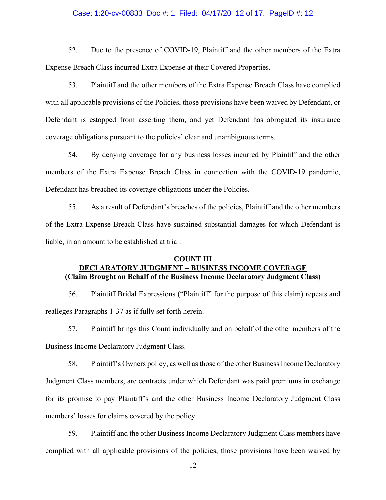#### Case: 1:20-cv-00833 Doc #: 1 Filed: 04/17/20 12 of 17. PageID #: 12

52. Due to the presence of COVID-19, Plaintiff and the other members of the Extra Expense Breach Class incurred Extra Expense at their Covered Properties.

53. Plaintiff and the other members of the Extra Expense Breach Class have complied with all applicable provisions of the Policies, those provisions have been waived by Defendant, or Defendant is estopped from asserting them, and yet Defendant has abrogated its insurance coverage obligations pursuant to the policies' clear and unambiguous terms.

54. By denying coverage for any business losses incurred by Plaintiff and the other members of the Extra Expense Breach Class in connection with the COVID-19 pandemic, Defendant has breached its coverage obligations under the Policies.

55. As a result of Defendant's breaches of the policies, Plaintiff and the other members of the Extra Expense Breach Class have sustained substantial damages for which Defendant is liable, in an amount to be established at trial.

## **COUNT III DECLARATORY JUDGMENT – BUSINESS INCOME COVERAGE (Claim Brought on Behalf of the Business Income Declaratory Judgment Class)**

56. Plaintiff Bridal Expressions ("Plaintiff" for the purpose of this claim) repeats and realleges Paragraphs 1-37 as if fully set forth herein.

57. Plaintiff brings this Count individually and on behalf of the other members of the Business Income Declaratory Judgment Class.

58. Plaintiff's Owners policy, as well as those of the other Business Income Declaratory Judgment Class members, are contracts under which Defendant was paid premiums in exchange for its promise to pay Plaintiff's and the other Business Income Declaratory Judgment Class members' losses for claims covered by the policy.

59. Plaintiff and the other Business Income Declaratory Judgment Class members have complied with all applicable provisions of the policies, those provisions have been waived by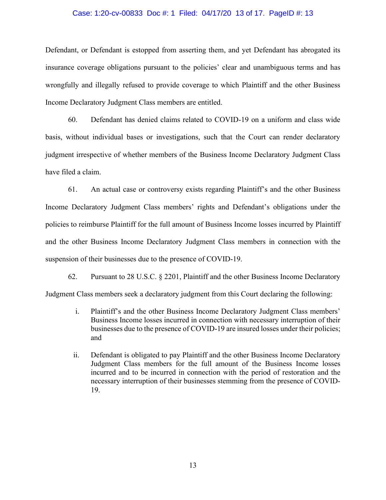#### Case: 1:20-cv-00833 Doc #: 1 Filed: 04/17/20 13 of 17. PageID #: 13

Defendant, or Defendant is estopped from asserting them, and yet Defendant has abrogated its insurance coverage obligations pursuant to the policies' clear and unambiguous terms and has wrongfully and illegally refused to provide coverage to which Plaintiff and the other Business Income Declaratory Judgment Class members are entitled.

60. Defendant has denied claims related to COVID-19 on a uniform and class wide basis, without individual bases or investigations, such that the Court can render declaratory judgment irrespective of whether members of the Business Income Declaratory Judgment Class have filed a claim.

61. An actual case or controversy exists regarding Plaintiff's and the other Business Income Declaratory Judgment Class members' rights and Defendant's obligations under the policies to reimburse Plaintiff for the full amount of Business Income losses incurred by Plaintiff and the other Business Income Declaratory Judgment Class members in connection with the suspension of their businesses due to the presence of COVID-19.

62. Pursuant to 28 U.S.C. § 2201, Plaintiff and the other Business Income Declaratory Judgment Class members seek a declaratory judgment from this Court declaring the following:

- i. Plaintiff's and the other Business Income Declaratory Judgment Class members' Business Income losses incurred in connection with necessary interruption of their businesses due to the presence of COVID-19 are insured losses under their policies; and
- ii. Defendant is obligated to pay Plaintiff and the other Business Income Declaratory Judgment Class members for the full amount of the Business Income losses incurred and to be incurred in connection with the period of restoration and the necessary interruption of their businesses stemming from the presence of COVID-19.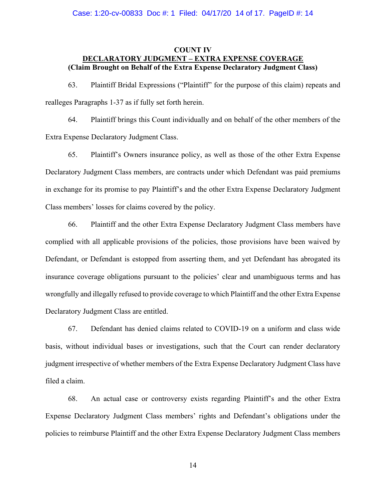#### Case: 1:20-cv-00833 Doc #: 1 Filed: 04/17/20 14 of 17. PageID #: 14

# **COUNT IV DECLARATORY JUDGMENT – EXTRA EXPENSE COVERAGE (Claim Brought on Behalf of the Extra Expense Declaratory Judgment Class)**

63. Plaintiff Bridal Expressions ("Plaintiff" for the purpose of this claim) repeats and realleges Paragraphs 1-37 as if fully set forth herein.

64. Plaintiff brings this Count individually and on behalf of the other members of the Extra Expense Declaratory Judgment Class.

65. Plaintiff's Owners insurance policy, as well as those of the other Extra Expense Declaratory Judgment Class members, are contracts under which Defendant was paid premiums in exchange for its promise to pay Plaintiff's and the other Extra Expense Declaratory Judgment Class members' losses for claims covered by the policy.

66. Plaintiff and the other Extra Expense Declaratory Judgment Class members have complied with all applicable provisions of the policies, those provisions have been waived by Defendant, or Defendant is estopped from asserting them, and yet Defendant has abrogated its insurance coverage obligations pursuant to the policies' clear and unambiguous terms and has wrongfully and illegally refused to provide coverage to which Plaintiff and the other Extra Expense Declaratory Judgment Class are entitled.

67. Defendant has denied claims related to COVID-19 on a uniform and class wide basis, without individual bases or investigations, such that the Court can render declaratory judgment irrespective of whether members of the Extra Expense Declaratory Judgment Class have filed a claim.

68. An actual case or controversy exists regarding Plaintiff's and the other Extra Expense Declaratory Judgment Class members' rights and Defendant's obligations under the policies to reimburse Plaintiff and the other Extra Expense Declaratory Judgment Class members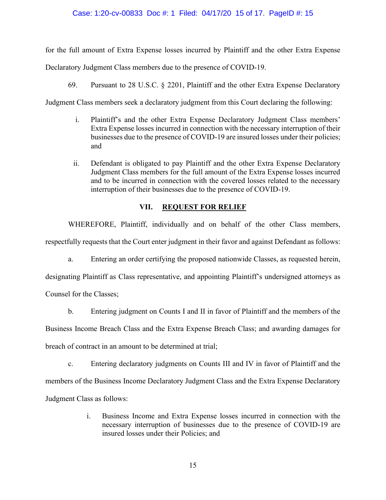## Case: 1:20-cv-00833 Doc #: 1 Filed: 04/17/20 15 of 17. PageID #: 15

for the full amount of Extra Expense losses incurred by Plaintiff and the other Extra Expense

Declaratory Judgment Class members due to the presence of COVID-19.

69. Pursuant to 28 U.S.C. § 2201, Plaintiff and the other Extra Expense Declaratory

Judgment Class members seek a declaratory judgment from this Court declaring the following:

- i. Plaintiff's and the other Extra Expense Declaratory Judgment Class members' Extra Expense losses incurred in connection with the necessary interruption of their businesses due to the presence of COVID-19 are insured losses under their policies; and
- ii. Defendant is obligated to pay Plaintiff and the other Extra Expense Declaratory Judgment Class members for the full amount of the Extra Expense losses incurred and to be incurred in connection with the covered losses related to the necessary interruption of their businesses due to the presence of COVID-19.

# **VII. REQUEST FOR RELIEF**

WHEREFORE, Plaintiff, individually and on behalf of the other Class members, respectfully requests that the Court enter judgment in their favor and against Defendant as follows:

a. Entering an order certifying the proposed nationwide Classes, as requested herein, designating Plaintiff as Class representative, and appointing Plaintiff's undersigned attorneys as Counsel for the Classes;

b. Entering judgment on Counts I and II in favor of Plaintiff and the members of the

Business Income Breach Class and the Extra Expense Breach Class; and awarding damages for breach of contract in an amount to be determined at trial;

c. Entering declaratory judgments on Counts III and IV in favor of Plaintiff and the members of the Business Income Declaratory Judgment Class and the Extra Expense Declaratory Judgment Class as follows:

> i. Business Income and Extra Expense losses incurred in connection with the necessary interruption of businesses due to the presence of COVID-19 are insured losses under their Policies; and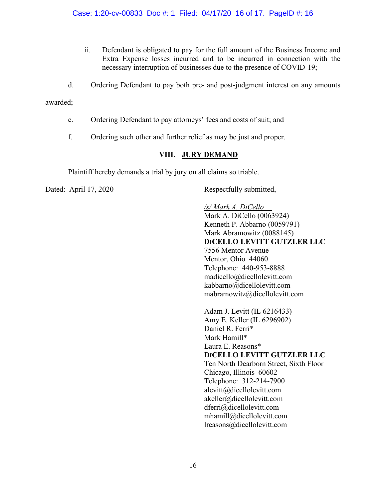- ii. Defendant is obligated to pay for the full amount of the Business Income and Extra Expense losses incurred and to be incurred in connection with the necessary interruption of businesses due to the presence of COVID-19;
- d. Ordering Defendant to pay both pre- and post-judgment interest on any amounts

awarded;

- e. Ordering Defendant to pay attorneys' fees and costs of suit; and
- f. Ordering such other and further relief as may be just and proper.

# **VIII. JURY DEMAND**

Plaintiff hereby demands a trial by jury on all claims so triable.

Dated: April 17, 2020 Respectfully submitted,

*/s/ Mark A. DiCello* Mark A. DiCello (0063924) Kenneth P. Abbarno (0059791) Mark Abramowitz (0088145) **DICELLO LEVITT GUTZLER LLC** 7556 Mentor Avenue Mentor, Ohio 44060 Telephone: 440-953-8888 madicello@dicellolevitt.com kabbarno@dicellolevitt.com mabramowitz@dicellolevitt.com Adam J. Levitt (IL 6216433) Amy E. Keller (IL 6296902) Daniel R. Ferri\* Mark Hamill\* Laura E. Reasons\* **DICELLO LEVITT GUTZLER LLC** Ten North Dearborn Street, Sixth Floor Chicago, Illinois 60602 Telephone: 312-214-7900 [alevitt@dicellolevitt.com](mailto:alevitt@dicellolevitt.com) akeller@dicellolevitt.com dferri@dicellolevitt.com [mhamill@dicellolevitt.com](mailto:mhamill@dicellolevitt.com) lreasons@dicellolevitt.com